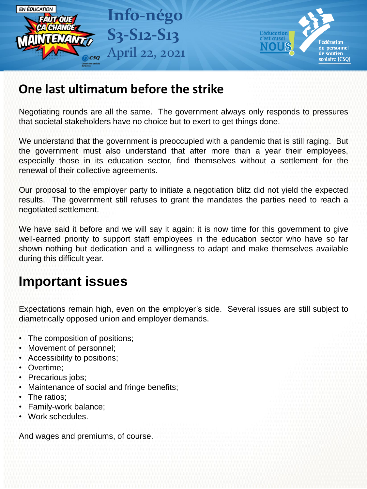

## **One last ultimatum before the strike**

Negotiating rounds are all the same. The government always only responds to pressures that societal stakeholders have no choice but to exert to get things done.

We understand that the government is preoccupied with a pandemic that is still raging. But the government must also understand that after more than a year their employees, especially those in its education sector, find themselves without a settlement for the renewal of their collective agreements.

Our proposal to the employer party to initiate a negotiation blitz did not yield the expected results. The government still refuses to grant the mandates the parties need to reach a negotiated settlement.

We have said it before and we will say it again: it is now time for this government to give well-earned priority to support staff employees in the education sector who have so far shown nothing but dedication and a willingness to adapt and make themselves available during this difficult year.

## **Important issues**

Expectations remain high, even on the employer's side. Several issues are still subject to diametrically opposed union and employer demands.

- The composition of positions;
- Movement of personnel;
- Accessibility to positions;
- Overtime;
- Precarious jobs;
- Maintenance of social and fringe benefits;
- The ratios:
- Family-work balance;
- Work schedules.

And wages and premiums, of course.